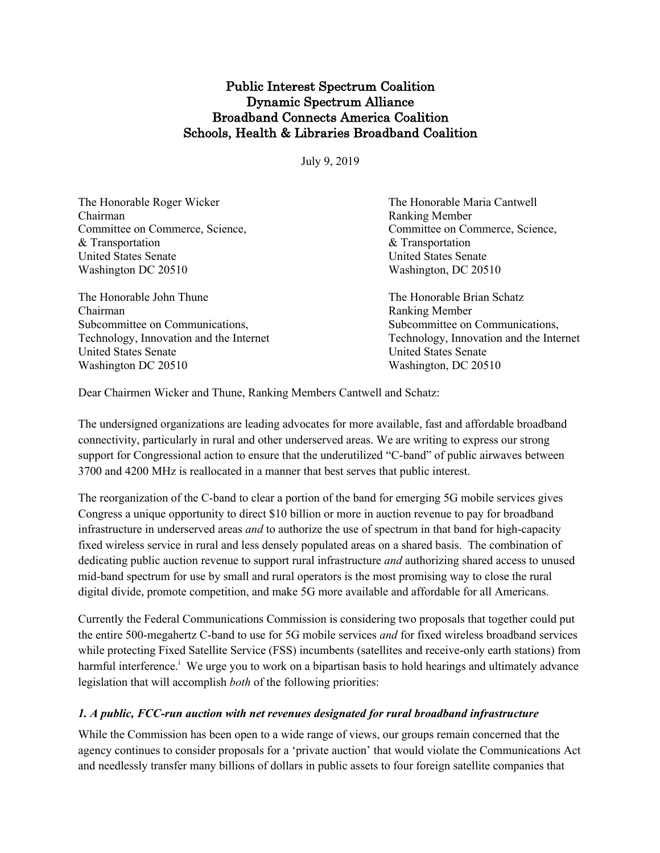# Public Interest Spectrum Coalition Dynamic Spectrum Alliance Broadband Connects America Coalition Schools, Health & Libraries Broadband Coalition

July 9, 2019

| The Honorable Roger Wicker              | The Honorable Maria Cantwell            |
|-----------------------------------------|-----------------------------------------|
| Chairman                                | <b>Ranking Member</b>                   |
| Committee on Commerce, Science,         | Committee on Commerce, Science,         |
| & Transportation                        | & Transportation                        |
| <b>United States Senate</b>             | <b>United States Senate</b>             |
| Washington DC 20510                     | Washington, DC 20510                    |
| The Honorable John Thune                | The Honorable Brian Schatz              |
| Chairman                                | <b>Ranking Member</b>                   |
| Subcommittee on Communications,         | Subcommittee on Communications,         |
| Technology, Innovation and the Internet | Technology, Innovation and the Internet |
| <b>United States Senate</b>             | <b>United States Senate</b>             |
| Washington DC 20510                     | Washington, DC 20510                    |
|                                         |                                         |

Dear Chairmen Wicker and Thune, Ranking Members Cantwell and Schatz:

The undersigned organizations are leading advocates for more available, fast and affordable broadband connectivity, particularly in rural and other underserved areas. We are writing to express our strong support for Congressional action to ensure that the underutilized "C-band" of public airwaves between 3700 and 4200 MHz is reallocated in a manner that best serves that public interest.

The reorganization of the C-band to clear a portion of the band for emerging 5G mobile services gives Congress a unique opportunity to direct \$10 billion or more in auction revenue to pay for broadband infrastructure in underserved areas *and* to authorize the use of spectrum in that band for high-capacity fixed wireless service in rural and less densely populated areas on a shared basis. The combination of dedicating public auction revenue to support rural infrastructure *and* authorizing shared access to unused mid-band spectrum for use by small and rural operators is the most promising way to close the rural digital divide, promote competition, and make 5G more available and affordable for all Americans.

Currently the Federal Communications Commission is considering two proposals that together could put the entire 500-megahertz C-band to use for 5G mobile services *and* for fixed wireless broadband services while protecting Fixed Satellite Service (FSS) incumbents (satellites and receive-only earth stations) from harmful interference.<sup>i</sup> We urge you to work on a bipartisan basis to hold hearings and ultimately advance legislation that will accomplish *both* of the following priorities:

### *1. A public, FCC-run auction with net revenues designated for rural broadband infrastructure*

While the Commission has been open to a wide range of views, our groups remain concerned that the agency continues to consider proposals for a 'private auction' that would violate the Communications Act and needlessly transfer many billions of dollars in public assets to four foreign satellite companies that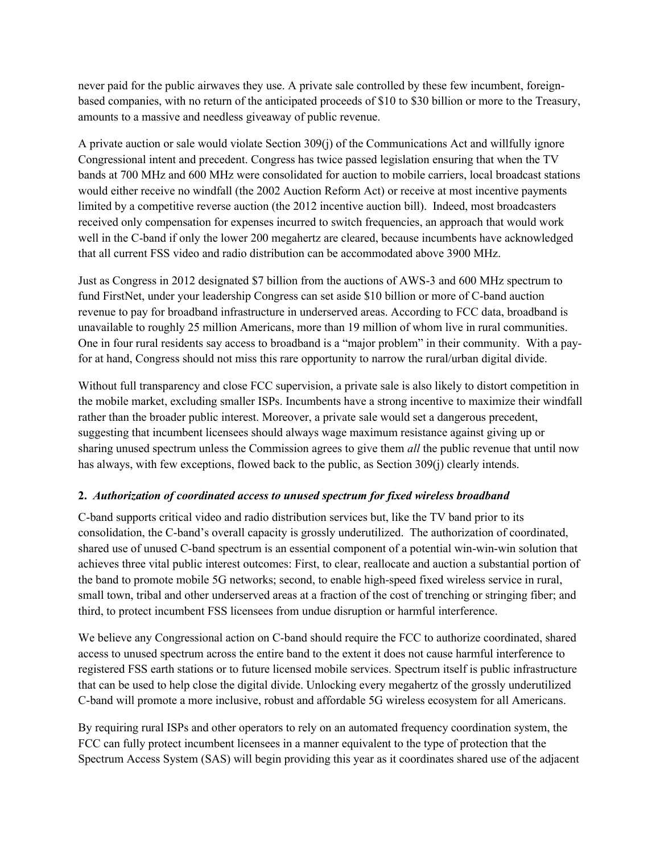never paid for the public airwaves they use. A private sale controlled by these few incumbent, foreignbased companies, with no return of the anticipated proceeds of \$10 to \$30 billion or more to the Treasury, amounts to a massive and needless giveaway of public revenue.

A private auction or sale would violate Section 309(j) of the Communications Act and willfully ignore Congressional intent and precedent. Congress has twice passed legislation ensuring that when the TV bands at 700 MHz and 600 MHz were consolidated for auction to mobile carriers, local broadcast stations would either receive no windfall (the 2002 Auction Reform Act) or receive at most incentive payments limited by a competitive reverse auction (the 2012 incentive auction bill). Indeed, most broadcasters received only compensation for expenses incurred to switch frequencies, an approach that would work well in the C-band if only the lower 200 megahertz are cleared, because incumbents have acknowledged that all current FSS video and radio distribution can be accommodated above 3900 MHz.

Just as Congress in 2012 designated \$7 billion from the auctions of AWS-3 and 600 MHz spectrum to fund FirstNet, under your leadership Congress can set aside \$10 billion or more of C-band auction revenue to pay for broadband infrastructure in underserved areas. According to FCC data, broadband is unavailable to roughly 25 million Americans, more than 19 million of whom live in rural communities. One in four rural residents say access to broadband is a "major problem" in their community. With a payfor at hand, Congress should not miss this rare opportunity to narrow the rural/urban digital divide.

Without full transparency and close FCC supervision, a private sale is also likely to distort competition in the mobile market, excluding smaller ISPs. Incumbents have a strong incentive to maximize their windfall rather than the broader public interest. Moreover, a private sale would set a dangerous precedent, suggesting that incumbent licensees should always wage maximum resistance against giving up or sharing unused spectrum unless the Commission agrees to give them *all* the public revenue that until now has always, with few exceptions, flowed back to the public, as Section 309(j) clearly intends.

## **2.** *Authorization of coordinated access to unused spectrum for fixed wireless broadband*

C-band supports critical video and radio distribution services but, like the TV band prior to its consolidation, the C-band's overall capacity is grossly underutilized. The authorization of coordinated, shared use of unused C-band spectrum is an essential component of a potential win-win-win solution that achieves three vital public interest outcomes: First, to clear, reallocate and auction a substantial portion of the band to promote mobile 5G networks; second, to enable high-speed fixed wireless service in rural, small town, tribal and other underserved areas at a fraction of the cost of trenching or stringing fiber; and third, to protect incumbent FSS licensees from undue disruption or harmful interference.

We believe any Congressional action on C-band should require the FCC to authorize coordinated, shared access to unused spectrum across the entire band to the extent it does not cause harmful interference to registered FSS earth stations or to future licensed mobile services. Spectrum itself is public infrastructure that can be used to help close the digital divide. Unlocking every megahertz of the grossly underutilized C-band will promote a more inclusive, robust and affordable 5G wireless ecosystem for all Americans.

By requiring rural ISPs and other operators to rely on an automated frequency coordination system, the FCC can fully protect incumbent licensees in a manner equivalent to the type of protection that the Spectrum Access System (SAS) will begin providing this year as it coordinates shared use of the adjacent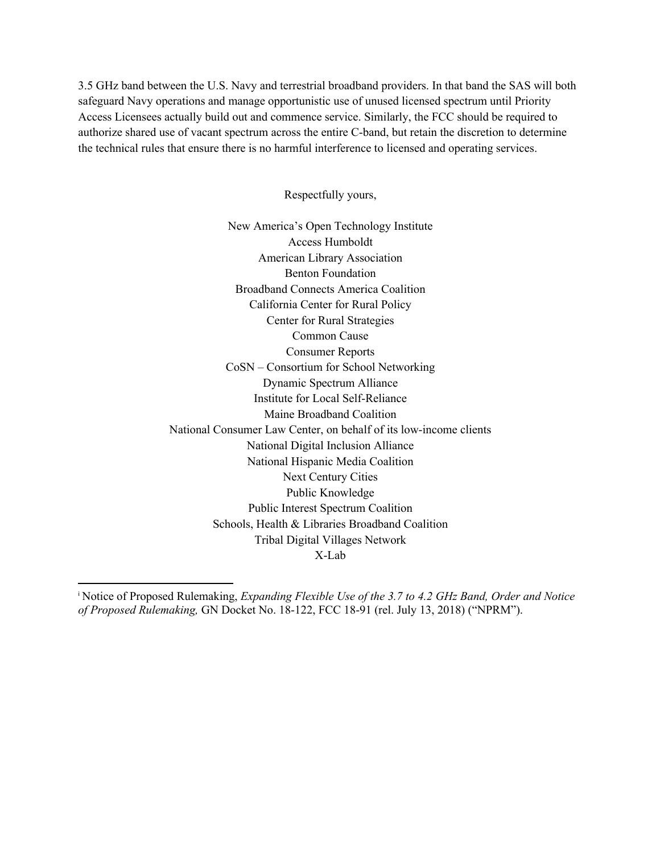3.5 GHz band between the U.S. Navy and terrestrial broadband providers. In that band the SAS will both safeguard Navy operations and manage opportunistic use of unused licensed spectrum until Priority Access Licensees actually build out and commence service. Similarly, the FCC should be required to authorize shared use of vacant spectrum across the entire C-band, but retain the discretion to determine the technical rules that ensure there is no harmful interference to licensed and operating services.

Respectfully yours,

New America's Open Technology Institute Access Humboldt American Library Association Benton Foundation Broadband Connects America Coalition California Center for Rural Policy Center for Rural Strategies Common Cause Consumer Reports CoSN – Consortium for School Networking Dynamic Spectrum Alliance Institute for Local Self-Reliance Maine Broadband Coalition National Consumer Law Center, on behalf of its low-income clients National Digital Inclusion Alliance National Hispanic Media Coalition Next Century Cities Public Knowledge Public Interest Spectrum Coalition Schools, Health & Libraries Broadband Coalition Tribal Digital Villages Network X-Lab

i Notice of Proposed Rulemaking, *Expanding Flexible Use of the 3.7 to 4.2 GHz Band, Order and Notice of Proposed Rulemaking,* GN Docket No. 18-122, FCC 18-91 (rel. July 13, 2018) ("NPRM").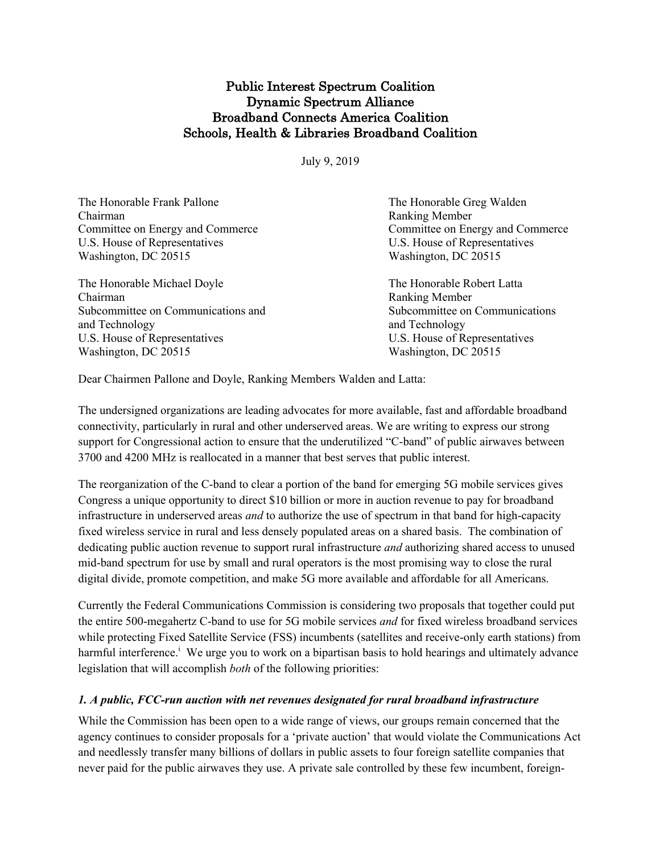# Public Interest Spectrum Coalition Dynamic Spectrum Alliance Broadband Connects America Coalition Schools, Health & Libraries Broadband Coalition

July 9, 2019

| The Honorable Frank Pallone        | The Honorable Greg Walden        |
|------------------------------------|----------------------------------|
| Chairman                           | <b>Ranking Member</b>            |
| Committee on Energy and Commerce   | Committee on Energy and Commerce |
| U.S. House of Representatives      | U.S. House of Representatives    |
| Washington, DC 20515               | Washington, DC 20515             |
| The Honorable Michael Doyle        | The Honorable Robert Latta       |
| Chairman                           | <b>Ranking Member</b>            |
| Subcommittee on Communications and | Subcommittee on Communications   |
| and Technology                     | and Technology                   |
| U.S. House of Representatives      | U.S. House of Representatives    |
| Washington, DC 20515               | Washington, DC 20515             |
|                                    |                                  |

Dear Chairmen Pallone and Doyle, Ranking Members Walden and Latta:

The undersigned organizations are leading advocates for more available, fast and affordable broadband connectivity, particularly in rural and other underserved areas. We are writing to express our strong support for Congressional action to ensure that the underutilized "C-band" of public airwaves between 3700 and 4200 MHz is reallocated in a manner that best serves that public interest.

The reorganization of the C-band to clear a portion of the band for emerging 5G mobile services gives Congress a unique opportunity to direct \$10 billion or more in auction revenue to pay for broadband infrastructure in underserved areas *and* to authorize the use of spectrum in that band for high-capacity fixed wireless service in rural and less densely populated areas on a shared basis. The combination of dedicating public auction revenue to support rural infrastructure *and* authorizing shared access to unused mid-band spectrum for use by small and rural operators is the most promising way to close the rural digital divide, promote competition, and make 5G more available and affordable for all Americans.

Currently the Federal Communications Commission is considering two proposals that together could put the entire 500-megahertz C-band to use for 5G mobile services *and* for fixed wireless broadband services while protecting Fixed Satellite Service (FSS) incumbents (satellites and receive-only earth stations) from harmful interference.<sup>i</sup> We urge you to work on a bipartisan basis to hold hearings and ultimately advance legislation that will accomplish *both* of the following priorities:

## *1. A public, FCC-run auction with net revenues designated for rural broadband infrastructure*

While the Commission has been open to a wide range of views, our groups remain concerned that the agency continues to consider proposals for a 'private auction' that would violate the Communications Act and needlessly transfer many billions of dollars in public assets to four foreign satellite companies that never paid for the public airwaves they use. A private sale controlled by these few incumbent, foreign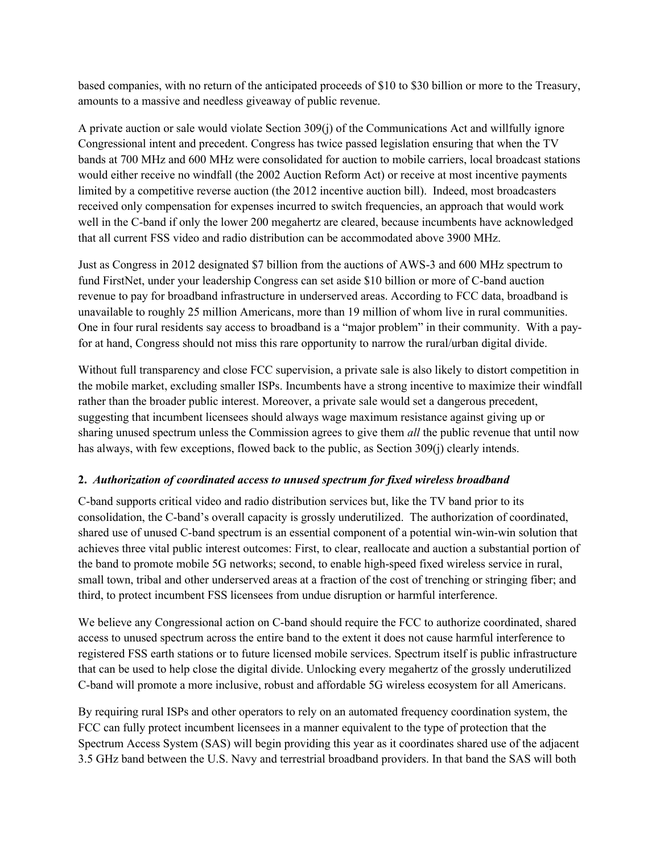based companies, with no return of the anticipated proceeds of \$10 to \$30 billion or more to the Treasury, amounts to a massive and needless giveaway of public revenue.

A private auction or sale would violate Section 309(j) of the Communications Act and willfully ignore Congressional intent and precedent. Congress has twice passed legislation ensuring that when the TV bands at 700 MHz and 600 MHz were consolidated for auction to mobile carriers, local broadcast stations would either receive no windfall (the 2002 Auction Reform Act) or receive at most incentive payments limited by a competitive reverse auction (the 2012 incentive auction bill). Indeed, most broadcasters received only compensation for expenses incurred to switch frequencies, an approach that would work well in the C-band if only the lower 200 megahertz are cleared, because incumbents have acknowledged that all current FSS video and radio distribution can be accommodated above 3900 MHz.

Just as Congress in 2012 designated \$7 billion from the auctions of AWS-3 and 600 MHz spectrum to fund FirstNet, under your leadership Congress can set aside \$10 billion or more of C-band auction revenue to pay for broadband infrastructure in underserved areas. According to FCC data, broadband is unavailable to roughly 25 million Americans, more than 19 million of whom live in rural communities. One in four rural residents say access to broadband is a "major problem" in their community. With a payfor at hand, Congress should not miss this rare opportunity to narrow the rural/urban digital divide.

Without full transparency and close FCC supervision, a private sale is also likely to distort competition in the mobile market, excluding smaller ISPs. Incumbents have a strong incentive to maximize their windfall rather than the broader public interest. Moreover, a private sale would set a dangerous precedent, suggesting that incumbent licensees should always wage maximum resistance against giving up or sharing unused spectrum unless the Commission agrees to give them *all* the public revenue that until now has always, with few exceptions, flowed back to the public, as Section 309(j) clearly intends.

## **2.** *Authorization of coordinated access to unused spectrum for fixed wireless broadband*

C-band supports critical video and radio distribution services but, like the TV band prior to its consolidation, the C-band's overall capacity is grossly underutilized. The authorization of coordinated, shared use of unused C-band spectrum is an essential component of a potential win-win-win solution that achieves three vital public interest outcomes: First, to clear, reallocate and auction a substantial portion of the band to promote mobile 5G networks; second, to enable high-speed fixed wireless service in rural, small town, tribal and other underserved areas at a fraction of the cost of trenching or stringing fiber; and third, to protect incumbent FSS licensees from undue disruption or harmful interference.

We believe any Congressional action on C-band should require the FCC to authorize coordinated, shared access to unused spectrum across the entire band to the extent it does not cause harmful interference to registered FSS earth stations or to future licensed mobile services. Spectrum itself is public infrastructure that can be used to help close the digital divide. Unlocking every megahertz of the grossly underutilized C-band will promote a more inclusive, robust and affordable 5G wireless ecosystem for all Americans.

By requiring rural ISPs and other operators to rely on an automated frequency coordination system, the FCC can fully protect incumbent licensees in a manner equivalent to the type of protection that the Spectrum Access System (SAS) will begin providing this year as it coordinates shared use of the adjacent 3.5 GHz band between the U.S. Navy and terrestrial broadband providers. In that band the SAS will both